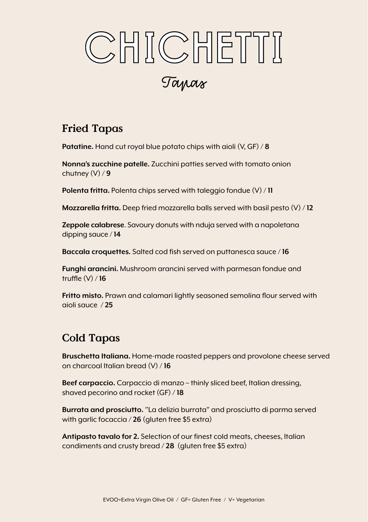## CHICHETTI CHICHETTI Tapas

## Fried Tapas

**Patatine.** Hand cut royal blue potato chips with aioli (V, GF) / **8** 

**Nonna's zucchine patelle.** Zucchini patties served with tomato onion chutney (V) / **9** 

**Polenta fritta.** Polenta chips served with taleggio fondue (V) / **11**

**Mozzarella fritta.** Deep fried mozzarella balls served with basil pesto (V) / **12** 

**Zeppole calabrese**. Savoury donuts with nduja served with a napoletana dipping sauce / **14**

**Baccala croquettes.** Salted cod fish served on puttanesca sauce / **16**

**Funghi arancini.** Mushroom arancini served with parmesan fondue and truffle (V) / **16**

**Fritto misto.** Prawn and calamari lightly seasoned semolina flour served with aioli sauce / **25**

## Cold Tapas

**Bruschetta Italiana.** Home-made roasted peppers and provolone cheese served on charcoal Italian bread (V) / **16** 

**Beef carpaccio.** Carpaccio di manzo – thinly sliced beef, Italian dressing, shaved pecorino and rocket (GF) / **18** 

**Burrata and prosciutto.** "La delizia burrata" and prosciutto di parma served with garlic focaccia / **26** (gluten free \$5 extra)

**Antipasto tavalo for 2.** Selection of our finest cold meats, cheeses, Italian condiments and crusty bread / **28** (gluten free \$5 extra)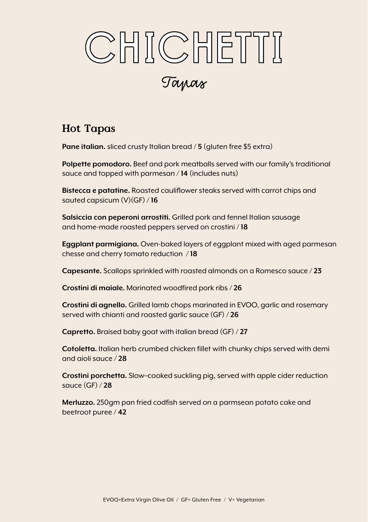# CHICHETTI CHICHETTI

Tapas

## Hot Tapas

**Pane italian.** sliced crusty Italian bread / **5** (gluten free \$5 extra)

**Polpette pomodoro.** Beef and pork meatballs served with our family's traditional sauce and topped with parmesan / **14** (includes nuts)

**Bistecca e patatine.** Roasted cauliflower steaks served with carrot chips and sauted capsicum (V)(GF) / **16** 

**Salsiccia con peperoni arrostiti.** Grilled pork and fennel Italian sausage and home-made roasted peppers served on crostini / **18**

**Eggplant parmigiana.** Oven-baked layers of eggplant mixed with aged parmesan chesse and cherry tomato reduction / **18**

**Capesante.** Scallops sprinkled with roasted almonds on a Romesco sauce / **23**

**Crostini di maiale.** Marinated woodfired pork ribs / **26**

**Crostini di agnello.** Grilled lamb chops marinated in EVOO, garlic and rosemary served with chianti and roasted garlic sauce (GF) / **26**

**Capretto.** Braised baby goat with italian bread (GF) / **27**

**Cotoletta.** Italian herb crumbed chicken fillet with chunky chips served with demi and aioli sauce / **28**

**Crostini porchetta.** Slow–cooked suckling pig, served with apple cider reduction sauce (GF) / **28**

**Merluzzo.** 250gm pan fried codfish served on a parmsean potato cake and beetroot puree / **42**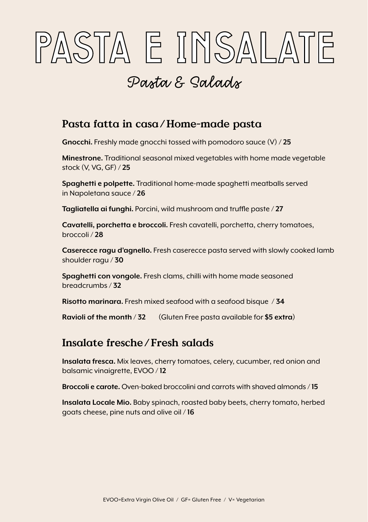## PASTA E INSALATE PASTA E INSALATE

## Pasta & Salads

## Pasta fatta in casa/Home-made pasta

**Gnocchi.** Freshly made gnocchi tossed with pomodoro sauce (V) **/ 25**

**Minestrone.** Traditional seasonal mixed vegetables with home made vegetable stock (V, VG, GF) / **25**

**Spaghetti e polpette.** Traditional home-made spaghetti meatballs served in Napoletana sauce / **26**

**Tagliatella ai funghi.** Porcini, wild mushroom and truffle paste / **27**

**Cavatelli, porchetta e broccoli.** Fresh cavatelli, porchetta, cherry tomatoes, broccoli / **28**

**Caserecce ragu d'agnello.** Fresh caserecce pasta served with slowly cooked lamb shoulder ragu / **30**

**Spaghetti con vongole.** Fresh clams, chilli with home made seasoned breadcrumbs / **32**

**Risotto marinara.** Fresh mixed seafood with a seafood bisque / **34**

**Ravioli of the month** / **32** (Gluten Free pasta available for **\$5 extra**)

## Insalate fresche/Fresh salads

**Insalata fresca.** Mix leaves, cherry tomatoes, celery, cucumber, red onion and balsamic vinaigrette, EVOO / **12** 

**Broccoli e carote.** Oven-baked broccolini and carrots with shaved almonds / **15** 

**Insalata Locale Mio.** Baby spinach, roasted baby beets, cherry tomato, herbed goats cheese, pine nuts and olive oil / **16**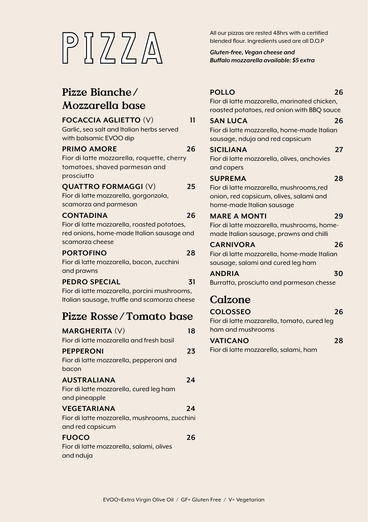

## Pizze Bianche/ Mozzarella base

#### **FOCACCIA AGLIETTO** (V) **11**

Garlic, sea salt and Italian herbs served with balsamic EVOO dip

#### **PRIMO AMORE 26**

Fior di latte mozzarella, roquette, cherry tomatoes, shaved parmesan and prosciutto

#### **QUATTRO FORMAGGI** (V) **25**

Fior di latte mozzarella, gorgonzola, scamorza and parmesan

#### **CONTADINA 26**

Fior di latte mozzarella, roasted potatoes, red onions, home-made Italian sausage and scamorza cheese

#### **PORTOFINO 28**

Fior di latte mozzarella, bacon, zucchini and prawns

#### **PEDRO SPECIAL 31**

Fior di latte mozzarella, porcini mushrooms, Italian sausage, truffle and scamorza cheese

### Pizze Rosse/Tomato base

| <b>MARGHERITA (V)</b>                                             | 18 |
|-------------------------------------------------------------------|----|
| Fior di latte mozzarella and fresh basil                          |    |
| PEPPERONI                                                         | 23 |
| Fior di latte mozzarella, pepperoni and<br>bacon                  |    |
| <b>AUSTRALIANA</b>                                                | 24 |
| Fior di latte mozzarella, cured leg ham                           |    |
| and pineapple                                                     |    |
| VEGETARIANA                                                       | 24 |
| Fior di latte mozzarella, mushrooms, zucchini<br>and red capsicum |    |
| <b>FUOCO</b>                                                      | 26 |
| Fior di latte mozzarella, salami, olives                          |    |
| and nduja                                                         |    |

blended flour. Ingredients used are all D.O.P

*Gluten-free, Vegan cheese and Buffalo mozzarella available: \$5 extra* 

#### **POLLO 26** Fior di latte mozzarella, marinated chicken, roasted potatoes, red onion with BBQ sauce **SAN LUCA 26** Fior di latte mozzarella, home-made Italian sausage, nduja and red capsicum **SICILIANA 27**

Fior di latte mozzarella, olives, anchovies and capers

#### **SUPREMA 28**

Fior di latte mozzarella, mushrooms,red onion, red capsicum, olives, salami and home-made Italian sausage

#### **MARE A MONTI 29**

Fior di latte mozzarella, mushrooms, homemade Italian sausage, prawns and chilli

#### **CARNIVORA 26**

Fior di latte mozzarella, home-made Italian sausage, salami and cured leg ham

**ANDRIA 30** Burratta, prosciutto and parmesan chesse

## Calzone

#### **COLOSSEO 26** Fior di latte mozzarella, tomato, cured leg

ham and mushrooms

#### **VATICANO 28**

Fior di latte mozzarella, salami, ham